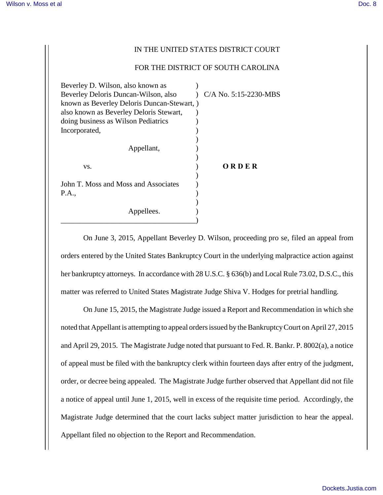## IN THE UNITED STATES DISTRICT COURT

## FOR THE DISTRICT OF SOUTH CAROLINA

| Beverley D. Wilson, also known as         |                         |
|-------------------------------------------|-------------------------|
| Beverley Deloris Duncan-Wilson, also      | $C/A$ No. 5:15-2230-MBS |
| known as Beverley Deloris Duncan-Stewart, |                         |
| also known as Beverley Deloris Stewart,   |                         |
| doing business as Wilson Pediatrics       |                         |
| Incorporated,                             |                         |
|                                           |                         |
| Appellant,                                |                         |
|                                           |                         |
| VS.                                       | ORDER                   |
|                                           |                         |
| John T. Moss and Moss and Associates      |                         |
| P.A.,                                     |                         |
|                                           |                         |
| Appellees.                                |                         |
|                                           |                         |

On June 3, 2015, Appellant Beverley D. Wilson, proceeding pro se, filed an appeal from orders entered by the United States Bankruptcy Court in the underlying malpractice action against her bankruptcy attorneys. In accordance with 28 U.S.C. § 636(b) and Local Rule 73.02, D.S.C., this matter was referred to United States Magistrate Judge Shiva V. Hodges for pretrial handling.

On June 15, 2015, the Magistrate Judge issued a Report and Recommendation in which she noted that Appellant is attempting to appeal orders issued by the Bankruptcy Court on April 27, 2015 and April 29, 2015. The Magistrate Judge noted that pursuant to Fed. R. Bankr. P. 8002(a), a notice of appeal must be filed with the bankruptcy clerk within fourteen days after entry of the judgment, order, or decree being appealed. The Magistrate Judge further observed that Appellant did not file a notice of appeal until June 1, 2015, well in excess of the requisite time period. Accordingly, the Magistrate Judge determined that the court lacks subject matter jurisdiction to hear the appeal. Appellant filed no objection to the Report and Recommendation.